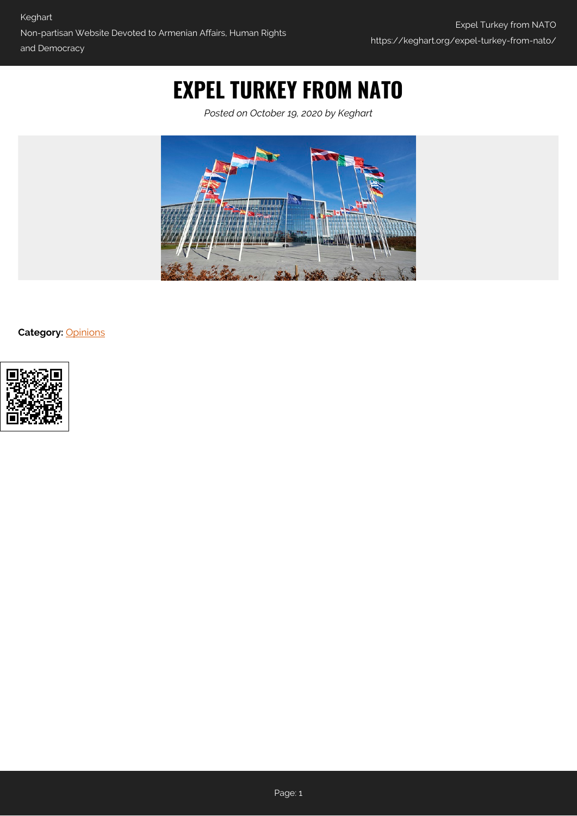## **EXPEL TURKEY FROM NATO**

*Posted on October 19, 2020 by Keghart*



**Category:** [Opinions](https://keghart.org/category/opinions/)

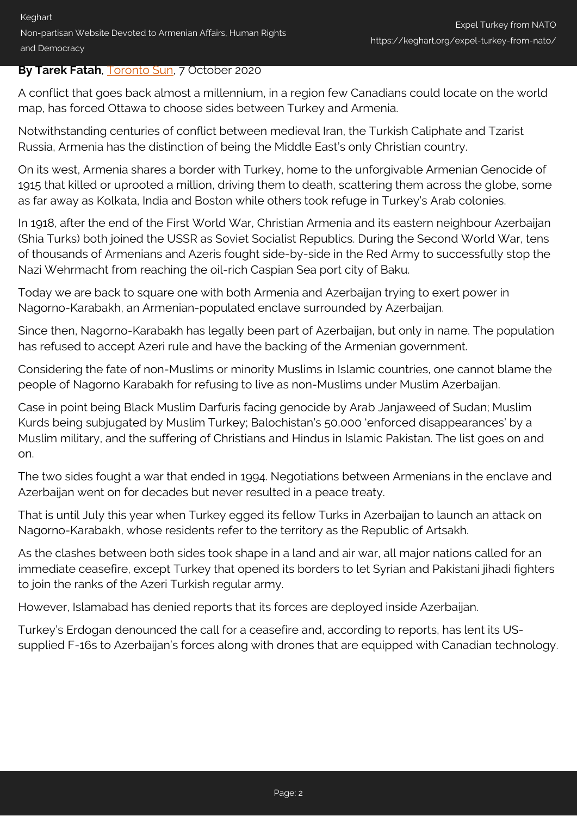## **By Tarek Fatah**, [Toronto Sun,](https://torontosun.com/opinion/columnists/fatah-expel-turkey-from-nato) 7 October 2020

A conflict that goes back almost a millennium, in a region few Canadians could locate on the world map, has forced Ottawa to choose sides between Turkey and Armenia.

Notwithstanding centuries of conflict between medieval Iran, the Turkish Caliphate and Tzarist Russia, Armenia has the distinction of being the Middle East's only Christian country.

On its west, Armenia shares a border with Turkey, home to the unforgivable Armenian Genocide of 1915 that killed or uprooted a million, driving them to death, scattering them across the globe, some as far away as Kolkata, India and Boston while others took refuge in Turkey's Arab colonies.

In 1918, after the end of the First World War, Christian Armenia and its eastern neighbour Azerbaijan (Shia Turks) both joined the USSR as Soviet Socialist Republics. During the Second World War, tens of thousands of Armenians and Azeris fought side-by-side in the Red Army to successfully stop the Nazi Wehrmacht from reaching the oil-rich Caspian Sea port city of Baku.

Today we are back to square one with both Armenia and Azerbaijan trying to exert power in Nagorno-Karabakh, an Armenian-populated enclave surrounded by Azerbaijan.

Since then, Nagorno-Karabakh has legally been part of Azerbaijan, but only in name. The population has refused to accept Azeri rule and have the backing of the Armenian government.

Considering the fate of non-Muslims or minority Muslims in Islamic countries, one cannot blame the people of Nagorno Karabakh for refusing to live as non-Muslims under Muslim Azerbaijan.

Case in point being Black Muslim Darfuris facing genocide by Arab Janjaweed of Sudan; Muslim Kurds being subjugated by Muslim Turkey; Balochistan's 50,000 'enforced disappearances' by a Muslim military, and the suffering of Christians and Hindus in Islamic Pakistan. The list goes on and on.

The two sides fought a war that ended in 1994. Negotiations between Armenians in the enclave and Azerbaijan went on for decades but never resulted in a peace treaty.

That is until July this year when Turkey egged its fellow Turks in Azerbaijan to launch an attack on Nagorno-Karabakh, whose residents refer to the territory as the Republic of Artsakh.

As the clashes between both sides took shape in a land and air war, all major nations called for an immediate ceasefire, except Turkey that opened its borders to let Syrian and Pakistani jihadi fighters to join the ranks of the Azeri Turkish regular army.

However, Islamabad has denied reports that its forces are deployed inside Azerbaijan.

Turkey's Erdogan denounced the call for a ceasefire and, according to reports, has lent its USsupplied F-16s to Azerbaijan's forces along with drones that are equipped with Canadian technology.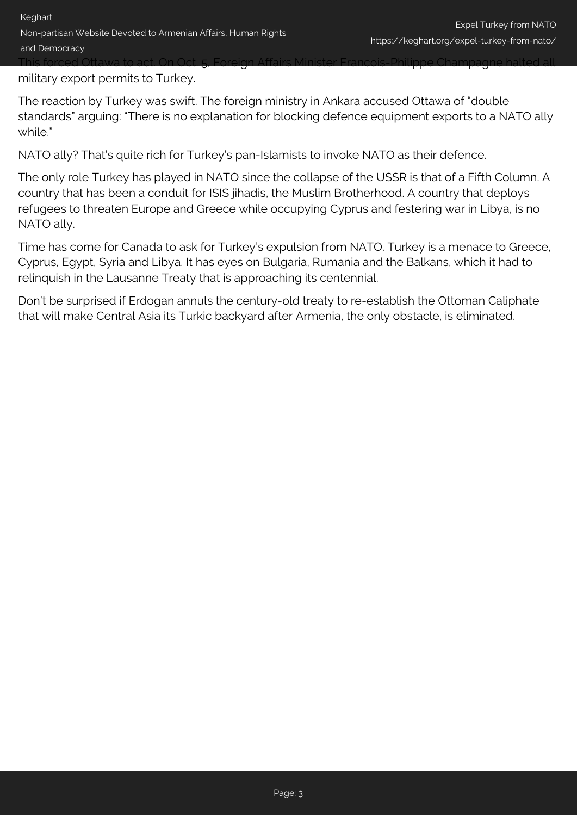military export permits to Turkey.

The reaction by Turkey was swift. The foreign ministry in Ankara accused Ottawa of "double standards" arguing: "There is no explanation for blocking defence equipment exports to a NATO ally while."

NATO ally? That's quite rich for Turkey's pan-Islamists to invoke NATO as their defence.

The only role Turkey has played in NATO since the collapse of the USSR is that of a Fifth Column. A country that has been a conduit for ISIS jihadis, the Muslim Brotherhood. A country that deploys refugees to threaten Europe and Greece while occupying Cyprus and festering war in Libya, is no NATO ally.

Time has come for Canada to ask for Turkey's expulsion from NATO. Turkey is a menace to Greece, Cyprus, Egypt, Syria and Libya. It has eyes on Bulgaria, Rumania and the Balkans, which it had to relinquish in the Lausanne Treaty that is approaching its centennial.

Don't be surprised if Erdogan annuls the century-old treaty to re-establish the Ottoman Caliphate that will make Central Asia its Turkic backyard after Armenia, the only obstacle, is eliminated.